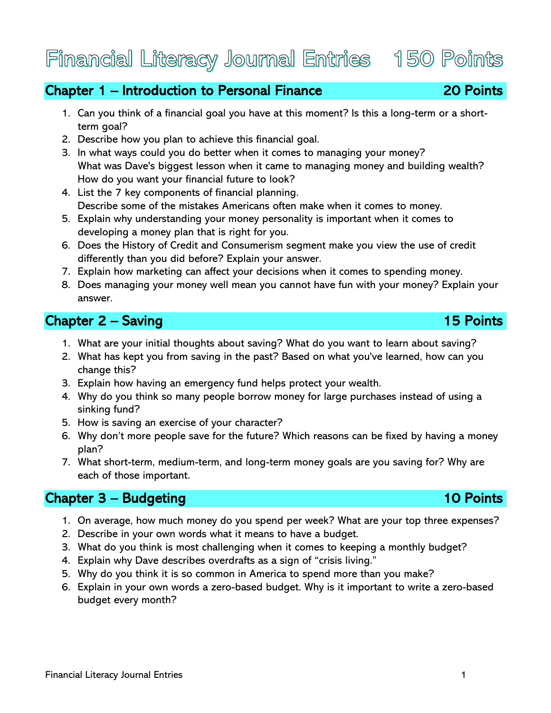# Chapter 1 – Introduction to Personal Finance 20 Points

1. Can you think of a financial goal you have at this moment? Is this a long-term or a shortterm goal?

- 2. Describe how you plan to achieve this financial goal.
- 3. In what ways could you do better when it comes to managing your money[?](https://www.foundationsdigital.com/app/#/course/78686/modules/537487/item/18075523) What was Dave's biggest lesson when it came to managing money and building wealth? How do you want your financial future to look?
- 4. List the 7 key components of financial planning[.](https://www.foundationsdigital.com/app/#/course/78686/modules/537487/item/18075567) Describe some of the mistakes Americans often make when it comes to money.
- 5. Explain why understanding your money personality is important when it comes to developing a money plan that is right for you.
- 6. Does the History of Credit and Consumerism segment make you view the use of credit differently than you did before? Explain your answer.
- 7. Explain how marketing can affect your decisions when it comes to spending money.
- 8. Does managing your money well mean you cannot have fun with your money? Explain your answer.

### **Chapter 2 – Saving 15 Points** 15 Points

- 1. What are your initial thoughts about saving? What do you want to learn about saving?
- 2. What has kept you from saving in the past? Based on what you've learned, how can you change this?
- 3. Explain how having an emergency fund helps protect your wealth.
- 4. Why do you think so many people borrow money for large purchases instead of using a sinking fund?
- 5. How is saving an exercise of your character?
- 6. Why don't more people save for the future? Which reasons can be fixed by having a money plan?
- 7. What short-term, medium-term, and long-term money goals are you saving for? Why are each of those important.

### Chapter 3 – Budgeting 10 Points

- 1. On average, how much money do you spend per week? What are your top three expenses?
- 2. Describe in your own words what it means to have a budget.
- 3. What do you think is most challenging when it comes to keeping a monthly budget?
- 4. Explain why Dave describes overdrafts as a sign of "crisis living."
- 5. Why do you think it is so common in America to spend more than you make?
- 6. Explain in your own words a zero-based budget. Why is it important to write a zero-based budget every month?

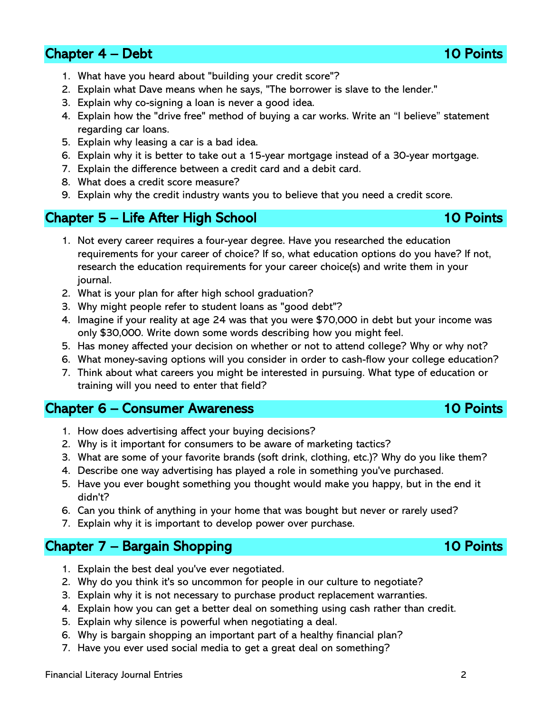### **Chapter 4 – Debt 10 Points** 10 Points 10 Points

Financial Literacy Journal Entries 2

- 1. What have you heard about "building your credit score"?
- 2. Explain what Dave means when he says, "The borrower is slave to the lender."
- 3. Explain why co-signing a loan is never a good idea.
- 4. Explain how the "drive free" method of buying a car works. Write an "I believe" statement regarding car loans.
- 5. Explain why leasing a car is a bad idea.
- 6. Explain why it is better to take out a 15-year mortgage instead of a 30-year mortgage.
- 7. Explain the difference between a credit card and a debit card.
- 8. What does a credit score measure?
- 9. Explain why the credit industry wants you to believe that you need a credit score.

### Chapter 5 – Life After High School 10 Points

- 1. Not every career requires a four-year degree. Have you researched the education requirements for your career of choice? If so, what education options do you have? If not, research the education requirements for your career choice(s) and write them in your journal.
- 2. What is your plan for after high school graduation?
- 3. Why might people refer to student loans as "good debt"?
- 4. Imagine if your reality at age 24 was that you were \$70,000 in debt but your income was only \$30,000. Write down some words describing how you might feel.
- 5. Has money affected your decision on whether or not to attend college? Why or why not?
- 6. What money-saving options will you consider in order to cash-flow your college education?
- 7. Think about what careers you might be interested in pursuing. What type of education or training will you need to enter that field?

### Chapter 6 – Consumer Awareness 10 Points

- 1. How does advertising affect your buying decisions?
- 2. Why is it important for consumers to be aware of marketing tactics?
- 3. What are some of your favorite brands (soft drink, clothing, etc.)? Why do you like them?
- 4. Describe one way advertising has played a role in something you've purchased.
- 5. Have you ever bought something you thought would make you happy, but in the end it didn't?
- 6. Can you think of anything in your home that was bought but never or rarely used?
- 7. Explain why it is important to develop power over purchase.

## Chapter 7 – Bargain Shopping 10 Points

- 1. Explain the best deal you've ever negotiated.
- 2. Why do you think it's so uncommon for people in our culture to negotiate?
- 3. Explain why it is not necessary to purchase product replacement warranties.
- 4. Explain how you can get a better deal on something using cash rather than credit.
- 5. Explain why silence is powerful when negotiating a deal.
- 6. Why is bargain shopping an important part of a healthy financial plan?
- 7. Have you ever used social media to get a great deal on something?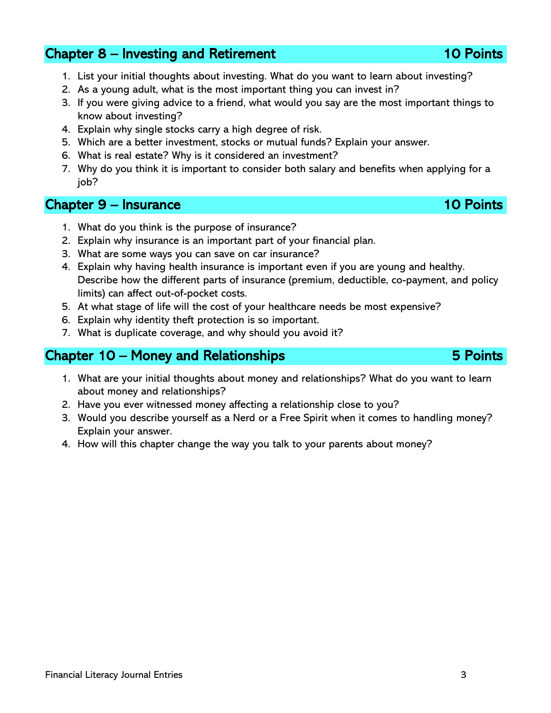### Chapter 8 – Investing and Retirement 10 Points

- 1. List your initial thoughts about investing. What do you want to learn about investing?
- 2. As a young adult, what is the most important thing you can invest in?
- 3. If you were giving advice to a friend, what would you say are the most important things to know about investing?
- 4. Explain why single stocks carry a high degree of risk.
- 5. Which are a better investment, stocks or mutual funds? Explain your answer.
- 6. What is real estate? Why is it considered an investment?
- 7. Why do you think it is important to consider both salary and benefits when applying for a job?

### Chapter 9 – Insurance 10 Points 10 Points

- 1. What do you think is the purpose of insurance?
- 2. Explain why insurance is an important part of your financial plan.
- 3. What are some ways you can save on car insurance?
- 4. Explain why having health insurance is important even if you are young and healthy. Describe how the different parts of insurance (premium, deductible, co-payment, and policy limits) can affect out-of-pocket costs.
- 5. At what stage of life will the cost of your healthcare needs be most expensive?
- 6. Explain why identity theft protection is so important.
- 7. What is duplicate coverage, and why should you avoid it?

### Chapter 10 – Money and Relationships 5 Points

- 1. What are your initial thoughts about money and relationships? What do you want to learn about money and relationships?
- 2. Have you ever witnessed money affecting a relationship close to you?
- 3. Would you describe yourself as a Nerd or a Free Spirit when it comes to handling money? Explain your answer.
- 4. How will this chapter change the way you talk to your parents about money?